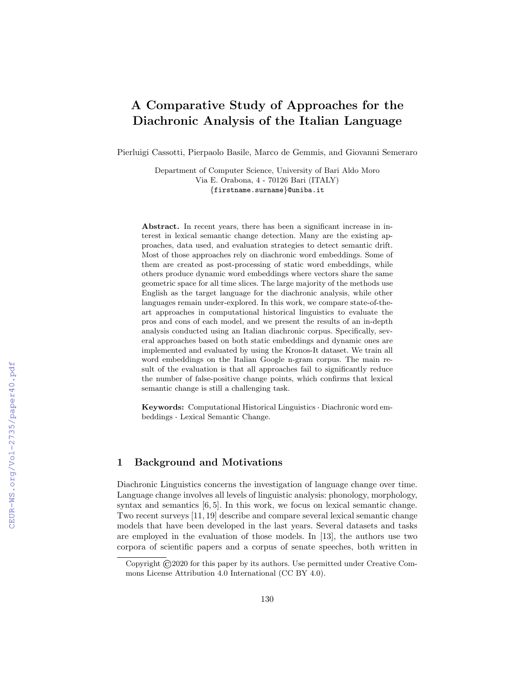# A Comparative Study of Approaches for the Diachronic Analysis of the Italian Language

Pierluigi Cassotti, Pierpaolo Basile, Marco de Gemmis, and Giovanni Semeraro

Department of Computer Science, University of Bari Aldo Moro Via E. Orabona, 4 - 70126 Bari (ITALY) {firstname.surname}@uniba.it

Abstract. In recent years, there has been a significant increase in interest in lexical semantic change detection. Many are the existing approaches, data used, and evaluation strategies to detect semantic drift. Most of those approaches rely on diachronic word embeddings. Some of them are created as post-processing of static word embeddings, while others produce dynamic word embeddings where vectors share the same geometric space for all time slices. The large majority of the methods use English as the target language for the diachronic analysis, while other languages remain under-explored. In this work, we compare state-of-theart approaches in computational historical linguistics to evaluate the pros and cons of each model, and we present the results of an in-depth analysis conducted using an Italian diachronic corpus. Specifically, several approaches based on both static embeddings and dynamic ones are implemented and evaluated by using the Kronos-It dataset. We train all word embeddings on the Italian Google n-gram corpus. The main result of the evaluation is that all approaches fail to significantly reduce the number of false-positive change points, which confirms that lexical semantic change is still a challenging task.

Keywords: Computational Historical Linguistics · Diachronic word embeddings · Lexical Semantic Change.

## 1 Background and Motivations

Diachronic Linguistics concerns the investigation of language change over time. Language change involves all levels of linguistic analysis: phonology, morphology, syntax and semantics  $[6, 5]$ . In this work, we focus on lexical semantic change. Two recent surveys [11, 19] describe and compare several lexical semantic change models that have been developed in the last years. Several datasets and tasks are employed in the evaluation of those models. In [13], the authors use two corpora of scientific papers and a corpus of senate speeches, both written in

Copyright ©2020 for this paper by its authors. Use permitted under Creative Commons License Attribution 4.0 International (CC BY 4.0).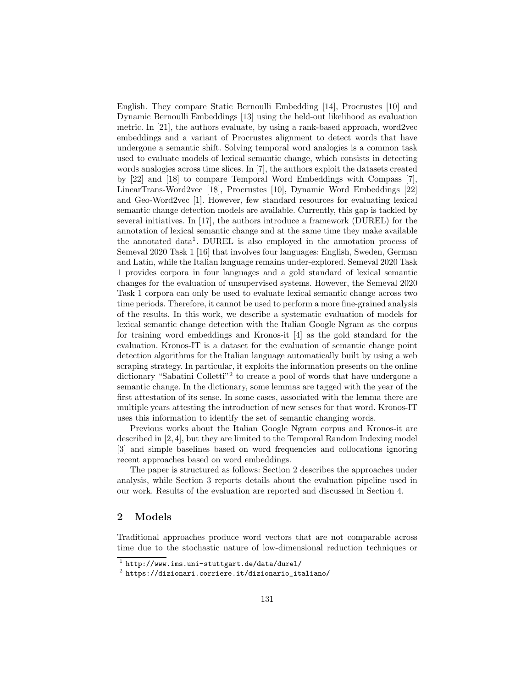English. They compare Static Bernoulli Embedding [14], Procrustes [10] and Dynamic Bernoulli Embeddings [13] using the held-out likelihood as evaluation metric. In [21], the authors evaluate, by using a rank-based approach, word2vec embeddings and a variant of Procrustes alignment to detect words that have undergone a semantic shift. Solving temporal word analogies is a common task used to evaluate models of lexical semantic change, which consists in detecting words analogies across time slices. In [7], the authors exploit the datasets created by [22] and [18] to compare Temporal Word Embeddings with Compass [7], LinearTrans-Word2vec [18], Procrustes [10], Dynamic Word Embeddings [22] and Geo-Word2vec [1]. However, few standard resources for evaluating lexical semantic change detection models are available. Currently, this gap is tackled by several initiatives. In [17], the authors introduce a framework (DUREL) for the annotation of lexical semantic change and at the same time they make available the annotated data<sup>1</sup>. DUREL is also employed in the annotation process of Semeval 2020 Task 1 [16] that involves four languages: English, Sweden, German and Latin, while the Italian language remains under-explored. Semeval 2020 Task 1 provides corpora in four languages and a gold standard of lexical semantic changes for the evaluation of unsupervised systems. However, the Semeval 2020 Task 1 corpora can only be used to evaluate lexical semantic change across two time periods. Therefore, it cannot be used to perform a more fine-grained analysis of the results. In this work, we describe a systematic evaluation of models for lexical semantic change detection with the Italian Google Ngram as the corpus for training word embeddings and Kronos-it [4] as the gold standard for the evaluation. Kronos-IT is a dataset for the evaluation of semantic change point detection algorithms for the Italian language automatically built by using a web scraping strategy. In particular, it exploits the information presents on the online dictionary "Sabatini Colletti"<sup>2</sup> to create a pool of words that have undergone a semantic change. In the dictionary, some lemmas are tagged with the year of the first attestation of its sense. In some cases, associated with the lemma there are multiple years attesting the introduction of new senses for that word. Kronos-IT uses this information to identify the set of semantic changing words.

Previous works about the Italian Google Ngram corpus and Kronos-it are described in [2, 4], but they are limited to the Temporal Random Indexing model [3] and simple baselines based on word frequencies and collocations ignoring recent approaches based on word embeddings.

The paper is structured as follows: Section 2 describes the approaches under analysis, while Section 3 reports details about the evaluation pipeline used in our work. Results of the evaluation are reported and discussed in Section 4.

## 2 Models

Traditional approaches produce word vectors that are not comparable across time due to the stochastic nature of low-dimensional reduction techniques or

 $^1$  http://www.ims.uni-stuttgart.de/data/durel/

 $^2$  https://dizionari.corriere.it/dizionario\_italiano/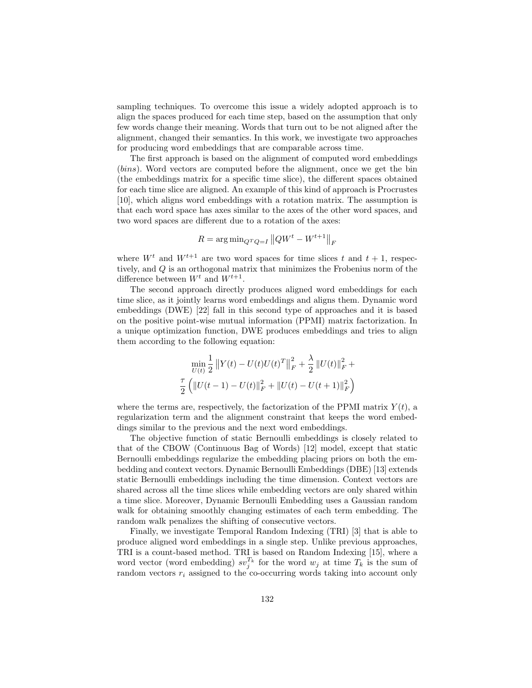sampling techniques. To overcome this issue a widely adopted approach is to align the spaces produced for each time step, based on the assumption that only few words change their meaning. Words that turn out to be not aligned after the alignment, changed their semantics. In this work, we investigate two approaches for producing word embeddings that are comparable across time.

The first approach is based on the alignment of computed word embeddings (bins). Word vectors are computed before the alignment, once we get the bin (the embeddings matrix for a specific time slice), the different spaces obtained for each time slice are aligned. An example of this kind of approach is Procrustes [10], which aligns word embeddings with a rotation matrix. The assumption is that each word space has axes similar to the axes of the other word spaces, and two word spaces are different due to a rotation of the axes:

$$
R = \arg\min_{Q^T Q = I} ||QW^t - W^{t+1}||_F
$$

where  $W^t$  and  $W^{t+1}$  are two word spaces for time slices t and  $t + 1$ , respectively, and Q is an orthogonal matrix that minimizes the Frobenius norm of the difference between  $W^t$  and  $W^{t+1}$ .

The second approach directly produces aligned word embeddings for each time slice, as it jointly learns word embeddings and aligns them. Dynamic word embeddings (DWE) [22] fall in this second type of approaches and it is based on the positive point-wise mutual information (PPMI) matrix factorization. In a unique optimization function, DWE produces embeddings and tries to align them according to the following equation:

$$
\min_{U(t)} \frac{1}{2} ||Y(t) - U(t)U(t)^{T}||_{F}^{2} + \frac{\lambda}{2} ||U(t)||_{F}^{2} + \frac{\tau}{2} (||U(t-1) - U(t)||_{F}^{2} + ||U(t) - U(t+1)||_{F}^{2})
$$

where the terms are, respectively, the factorization of the PPMI matrix  $Y(t)$ , a regularization term and the alignment constraint that keeps the word embeddings similar to the previous and the next word embeddings.

The objective function of static Bernoulli embeddings is closely related to that of the CBOW (Continuous Bag of Words) [12] model, except that static Bernoulli embeddings regularize the embedding placing priors on both the embedding and context vectors. Dynamic Bernoulli Embeddings (DBE) [13] extends static Bernoulli embeddings including the time dimension. Context vectors are shared across all the time slices while embedding vectors are only shared within a time slice. Moreover, Dynamic Bernoulli Embedding uses a Gaussian random walk for obtaining smoothly changing estimates of each term embedding. The random walk penalizes the shifting of consecutive vectors.

Finally, we investigate Temporal Random Indexing (TRI) [3] that is able to produce aligned word embeddings in a single step. Unlike previous approaches, TRI is a count-based method. TRI is based on Random Indexing [15], where a word vector (word embedding)  $sv_j^{T_k}$  for the word  $w_j$  at time  $T_k$  is the sum of random vectors  $r_i$  assigned to the co-occurring words taking into account only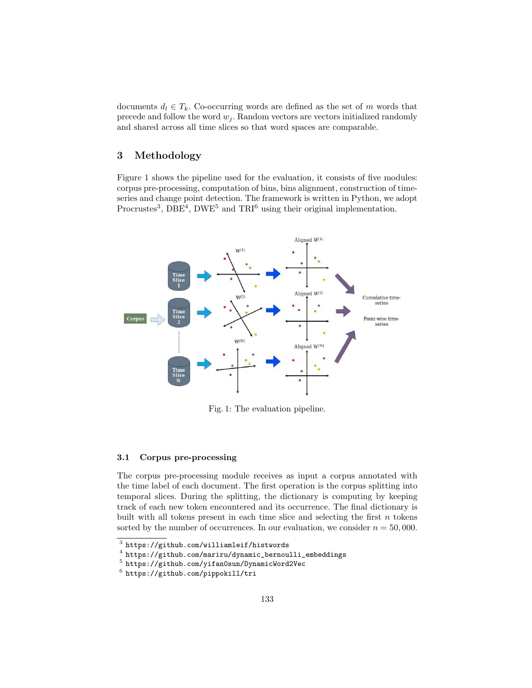documents  $d_l \in T_k$ . Co-occurring words are defined as the set of m words that precede and follow the word  $w_j$ . Random vectors are vectors initialized randomly and shared across all time slices so that word spaces are comparable.

# 3 Methodology

Figure 1 shows the pipeline used for the evaluation, it consists of five modules: corpus pre-processing, computation of bins, bins alignment, construction of timeseries and change point detection. The framework is written in Python, we adopt Procrustes<sup>3</sup>, DBE<sup>4</sup>, DWE<sup>5</sup> and TRI<sup>6</sup> using their original implementation.



Fig. 1: The evaluation pipeline.

#### 3.1 Corpus pre-processing

The corpus pre-processing module receives as input a corpus annotated with the time label of each document. The first operation is the corpus splitting into temporal slices. During the splitting, the dictionary is computing by keeping track of each new token encountered and its occurrence. The final dictionary is built with all tokens present in each time slice and selecting the first  $n$  tokens sorted by the number of occurrences. In our evaluation, we consider  $n = 50,000$ .

 $^3$  https://github.com/williamleif/histwords

<sup>&</sup>lt;sup>4</sup> https://github.com/mariru/dynamic\_bernoulli\_embeddings<br><sup>5</sup> https://github.com/yifan0sun/DynamicWord2Vec

 $^6$  https://github.com/pippokill/tri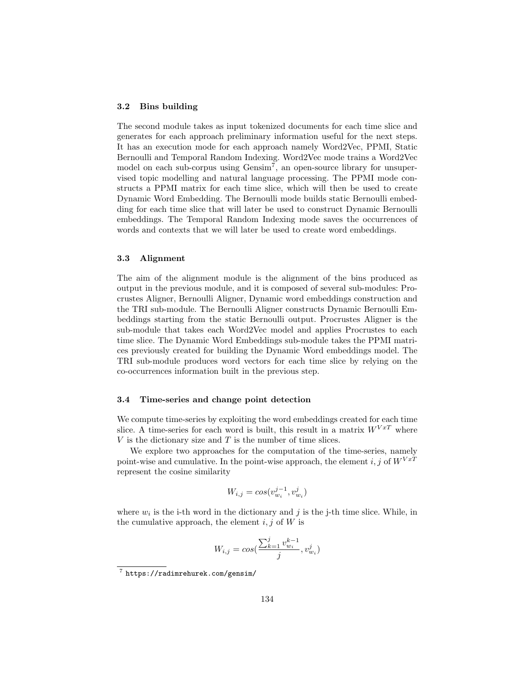#### 3.2 Bins building

The second module takes as input tokenized documents for each time slice and generates for each approach preliminary information useful for the next steps. It has an execution mode for each approach namely Word2Vec, PPMI, Static Bernoulli and Temporal Random Indexing. Word2Vec mode trains a Word2Vec model on each sub-corpus using Gensim<sup>7</sup>, an open-source library for unsupervised topic modelling and natural language processing. The PPMI mode constructs a PPMI matrix for each time slice, which will then be used to create Dynamic Word Embedding. The Bernoulli mode builds static Bernoulli embedding for each time slice that will later be used to construct Dynamic Bernoulli embeddings. The Temporal Random Indexing mode saves the occurrences of words and contexts that we will later be used to create word embeddings.

#### 3.3 Alignment

The aim of the alignment module is the alignment of the bins produced as output in the previous module, and it is composed of several sub-modules: Procrustes Aligner, Bernoulli Aligner, Dynamic word embeddings construction and the TRI sub-module. The Bernoulli Aligner constructs Dynamic Bernoulli Embeddings starting from the static Bernoulli output. Procrustes Aligner is the sub-module that takes each Word2Vec model and applies Procrustes to each time slice. The Dynamic Word Embeddings sub-module takes the PPMI matrices previously created for building the Dynamic Word embeddings model. The TRI sub-module produces word vectors for each time slice by relying on the co-occurrences information built in the previous step.

#### 3.4 Time-series and change point detection

We compute time-series by exploiting the word embeddings created for each time slice. A time-series for each word is built, this result in a matrix  $W^{V x T}$  where  $V$  is the dictionary size and  $T$  is the number of time slices.

We explore two approaches for the computation of the time-series, namely point-wise and cumulative. In the point-wise approach, the element i, j of  $W^{VxT}$ represent the cosine similarity

$$
W_{i,j} = \cos(v_{w_i}^{j-1}, v_{w_i}^j)
$$

where  $w_i$  is the i-th word in the dictionary and j is the j-th time slice. While, in the cumulative approach, the element  $i, j$  of W is

$$
W_{i,j} = cos(\frac{\sum_{k=1}^{j} v_{w_i}^{k-1}}{j}, v_{w_i}^j)
$$

<sup>7</sup> https://radimrehurek.com/gensim/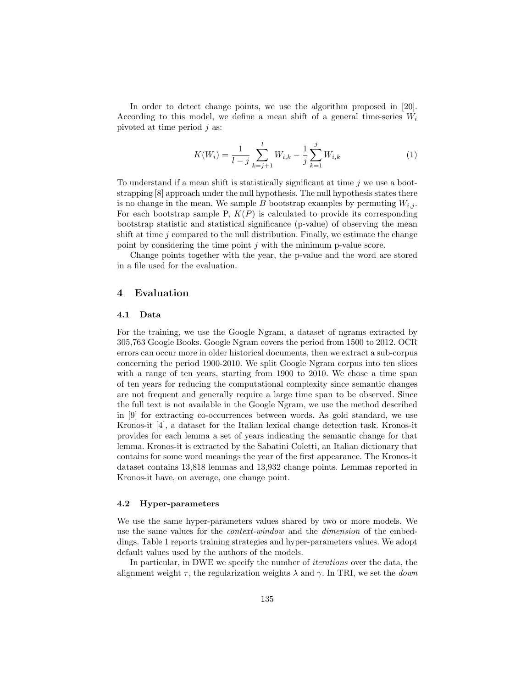In order to detect change points, we use the algorithm proposed in [20]. According to this model, we define a mean shift of a general time-series  $W_i$ pivoted at time period  $j$  as:

$$
K(W_i) = \frac{1}{l-j} \sum_{k=j+1}^{l} W_{i,k} - \frac{1}{j} \sum_{k=1}^{j} W_{i,k}
$$
 (1)

To understand if a mean shift is statistically significant at time j we use a bootstrapping [8] approach under the null hypothesis. The null hypothesis states there is no change in the mean. We sample B bootstrap examples by permuting  $W_{i,j}$ . For each bootstrap sample P,  $K(P)$  is calculated to provide its corresponding bootstrap statistic and statistical significance (p-value) of observing the mean shift at time  $j$  compared to the null distribution. Finally, we estimate the change point by considering the time point  $j$  with the minimum p-value score.

Change points together with the year, the p-value and the word are stored in a file used for the evaluation.

## 4 Evaluation

#### 4.1 Data

For the training, we use the Google Ngram, a dataset of ngrams extracted by 305,763 Google Books. Google Ngram covers the period from 1500 to 2012. OCR errors can occur more in older historical documents, then we extract a sub-corpus concerning the period 1900-2010. We split Google Ngram corpus into ten slices with a range of ten years, starting from 1900 to 2010. We chose a time span of ten years for reducing the computational complexity since semantic changes are not frequent and generally require a large time span to be observed. Since the full text is not available in the Google Ngram, we use the method described in [9] for extracting co-occurrences between words. As gold standard, we use Kronos-it [4], a dataset for the Italian lexical change detection task. Kronos-it provides for each lemma a set of years indicating the semantic change for that lemma. Kronos-it is extracted by the Sabatini Coletti, an Italian dictionary that contains for some word meanings the year of the first appearance. The Kronos-it dataset contains 13,818 lemmas and 13,932 change points. Lemmas reported in Kronos-it have, on average, one change point.

#### 4.2 Hyper-parameters

We use the same hyper-parameters values shared by two or more models. We use the same values for the *context-window* and the *dimension* of the embeddings. Table 1 reports training strategies and hyper-parameters values. We adopt default values used by the authors of the models.

In particular, in DWE we specify the number of iterations over the data, the alignment weight  $\tau$ , the regularization weights  $\lambda$  and  $\gamma$ . In TRI, we set the *down*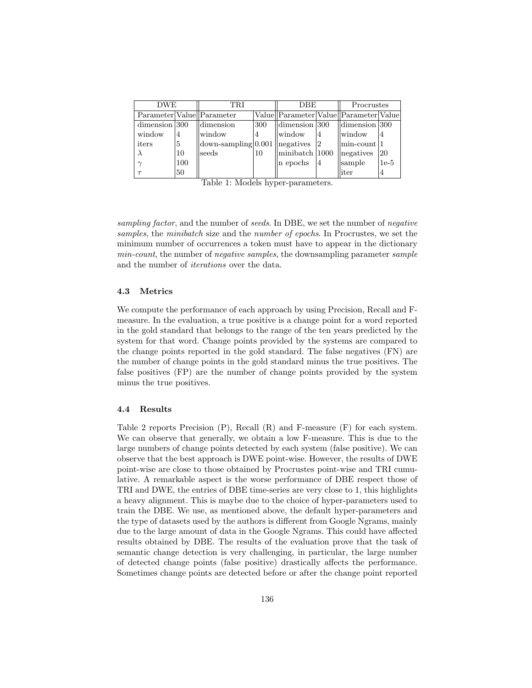| <b>DWE</b>       |     | TRI                                        |     | <b>DBE</b>                              |    | Procrustes               |           |
|------------------|-----|--------------------------------------------|-----|-----------------------------------------|----|--------------------------|-----------|
|                  |     | Parameter Value Parameter                  |     | Value  Parameter Value  Parameter Value |    |                          |           |
| $dimension$  300 |     | dimension                                  | 300 | $\text{Idimension}$  300                |    | $\text{Idimension}$  300 |           |
| window           | 4   | window                                     | 4   | window                                  | 14 | window                   | 4         |
| iters            | 5   | $down\text{-sampling}$ 0.001   negatives 2 |     |                                         |    | min-count  1             |           |
| $\lambda$        | 10  | seeds                                      | 10  | $\parallel$ minibatch $\parallel$ 1000  |    | <i>legatives</i>         | <b>20</b> |
| $\sim$           | 100 |                                            |     | n epochs                                | 14 | sample                   | $1e-5$    |
|                  | 50  |                                            |     |                                         |    | liter                    | 4         |

Table 1: Models hyper-parameters.

sampling factor, and the number of seeds. In DBE, we set the number of negative samples, the minibatch size and the number of epochs. In Procrustes, we set the minimum number of occurrences a token must have to appear in the dictionary min-count, the number of negative samples, the downsampling parameter sample and the number of iterations over the data.

#### 4.3 Metrics

We compute the performance of each approach by using Precision, Recall and Fmeasure. In the evaluation, a true positive is a change point for a word reported in the gold standard that belongs to the range of the ten years predicted by the system for that word. Change points provided by the systems are compared to the change points reported in the gold standard. The false negatives (FN) are the number of change points in the gold standard minus the true positives. The false positives (FP) are the number of change points provided by the system minus the true positives.

#### 4.4 Results

Table 2 reports Precision (P), Recall (R) and F-measure (F) for each system. We can observe that generally, we obtain a low F-measure. This is due to the large numbers of change points detected by each system (false positive). We can observe that the best approach is DWE point-wise. However, the results of DWE point-wise are close to those obtained by Procrustes point-wise and TRI cumulative. A remarkable aspect is the worse performance of DBE respect those of TRI and DWE, the entries of DBE time-series are very close to 1, this highlights a heavy alignment. This is maybe due to the choice of hyper-parameters used to train the DBE. We use, as mentioned above, the default hyper-parameters and the type of datasets used by the authors is different from Google Ngrams, mainly due to the large amount of data in the Google Ngrams. This could have affected results obtained by DBE. The results of the evaluation prove that the task of semantic change detection is very challenging, in particular, the large number of detected change points (false positive) drastically affects the performance. Sometimes change points are detected before or after the change point reported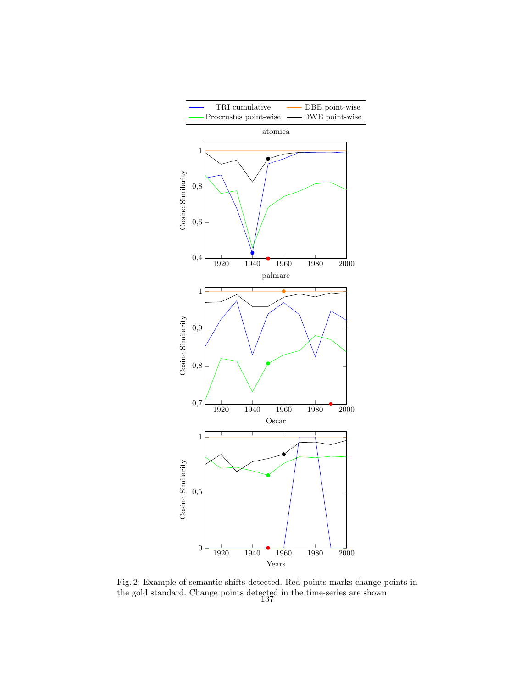

Fig. 2: Example of semantic shifts detected. Red points marks change points in the gold standard. Change points detected in the time-series are shown. 137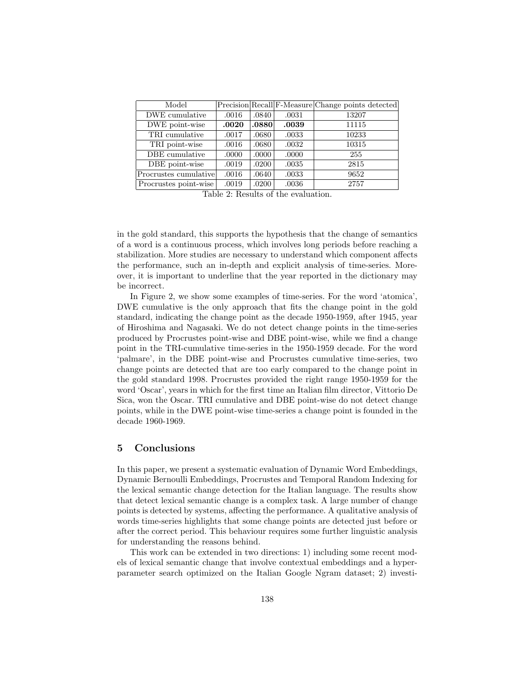| Model                 |       |       |       | Precision Recall F-Measure Change points detected |
|-----------------------|-------|-------|-------|---------------------------------------------------|
| DWE cumulative        | .0016 | .0840 | .0031 | 13207                                             |
| DWE point-wise        | .0020 | .0880 | .0039 | 11115                                             |
| TRI cumulative        | .0017 | .0680 | .0033 | 10233                                             |
| TRI point-wise        | .0016 | .0680 | .0032 | 10315                                             |
| DBE cumulative        | .0000 | .0000 | .0000 | 255                                               |
| DBE point-wise        | .0019 | .0200 | .0035 | 2815                                              |
| Procrustes cumulative | .0016 | .0640 | .0033 | 9652                                              |
| Procrustes point-wise | .0019 | .0200 | .0036 | 2757                                              |

Table 2: Results of the evaluation.

in the gold standard, this supports the hypothesis that the change of semantics of a word is a continuous process, which involves long periods before reaching a stabilization. More studies are necessary to understand which component affects the performance, such an in-depth and explicit analysis of time-series. Moreover, it is important to underline that the year reported in the dictionary may be incorrect.

In Figure 2, we show some examples of time-series. For the word 'atomica', DWE cumulative is the only approach that fits the change point in the gold standard, indicating the change point as the decade 1950-1959, after 1945, year of Hiroshima and Nagasaki. We do not detect change points in the time-series produced by Procrustes point-wise and DBE point-wise, while we find a change point in the TRI-cumulative time-series in the 1950-1959 decade. For the word 'palmare', in the DBE point-wise and Procrustes cumulative time-series, two change points are detected that are too early compared to the change point in the gold standard 1998. Procrustes provided the right range 1950-1959 for the word 'Oscar', years in which for the first time an Italian film director, Vittorio De Sica, won the Oscar. TRI cumulative and DBE point-wise do not detect change points, while in the DWE point-wise time-series a change point is founded in the decade 1960-1969.

## 5 Conclusions

In this paper, we present a systematic evaluation of Dynamic Word Embeddings, Dynamic Bernoulli Embeddings, Procrustes and Temporal Random Indexing for the lexical semantic change detection for the Italian language. The results show that detect lexical semantic change is a complex task. A large number of change points is detected by systems, affecting the performance. A qualitative analysis of words time-series highlights that some change points are detected just before or after the correct period. This behaviour requires some further linguistic analysis for understanding the reasons behind.

This work can be extended in two directions: 1) including some recent models of lexical semantic change that involve contextual embeddings and a hyperparameter search optimized on the Italian Google Ngram dataset; 2) investi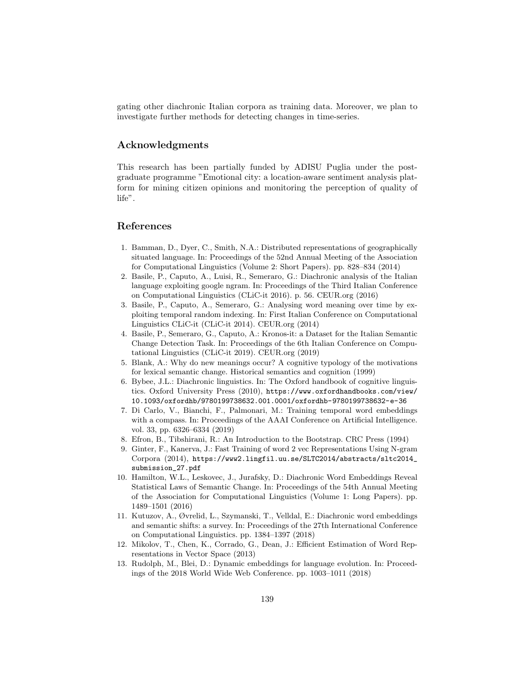gating other diachronic Italian corpora as training data. Moreover, we plan to investigate further methods for detecting changes in time-series.

## Acknowledgments

This research has been partially funded by ADISU Puglia under the postgraduate programme "Emotional city: a location-aware sentiment analysis platform for mining citizen opinions and monitoring the perception of quality of life".

# References

- 1. Bamman, D., Dyer, C., Smith, N.A.: Distributed representations of geographically situated language. In: Proceedings of the 52nd Annual Meeting of the Association for Computational Linguistics (Volume 2: Short Papers). pp. 828–834 (2014)
- 2. Basile, P., Caputo, A., Luisi, R., Semeraro, G.: Diachronic analysis of the Italian language exploiting google ngram. In: Proceedings of the Third Italian Conference on Computational Linguistics (CLiC-it 2016). p. 56. CEUR.org (2016)
- 3. Basile, P., Caputo, A., Semeraro, G.: Analysing word meaning over time by exploiting temporal random indexing. In: First Italian Conference on Computational Linguistics CLiC-it (CLiC-it 2014). CEUR.org (2014)
- 4. Basile, P., Semeraro, G., Caputo, A.: Kronos-it: a Dataset for the Italian Semantic Change Detection Task. In: Proceedings of the 6th Italian Conference on Computational Linguistics (CLiC-it 2019). CEUR.org (2019)
- 5. Blank, A.: Why do new meanings occur? A cognitive typology of the motivations for lexical semantic change. Historical semantics and cognition (1999)
- 6. Bybee, J.L.: Diachronic linguistics. In: The Oxford handbook of cognitive linguistics. Oxford University Press (2010), https://www.oxfordhandbooks.com/view/ 10.1093/oxfordhb/9780199738632.001.0001/oxfordhb-9780199738632-e-36
- 7. Di Carlo, V., Bianchi, F., Palmonari, M.: Training temporal word embeddings with a compass. In: Proceedings of the AAAI Conference on Artificial Intelligence. vol. 33, pp. 6326–6334 (2019)
- 8. Efron, B., Tibshirani, R.: An Introduction to the Bootstrap. CRC Press (1994)
- 9. Ginter, F., Kanerva, J.: Fast Training of word 2 vec Representations Using N-gram Corpora (2014), https://www2.lingfil.uu.se/SLTC2014/abstracts/sltc2014\_ submission\_27.pdf
- 10. Hamilton, W.L., Leskovec, J., Jurafsky, D.: Diachronic Word Embeddings Reveal Statistical Laws of Semantic Change. In: Proceedings of the 54th Annual Meeting of the Association for Computational Linguistics (Volume 1: Long Papers). pp. 1489–1501 (2016)
- 11. Kutuzov, A., Øvrelid, L., Szymanski, T., Velldal, E.: Diachronic word embeddings and semantic shifts: a survey. In: Proceedings of the 27th International Conference on Computational Linguistics. pp. 1384–1397 (2018)
- 12. Mikolov, T., Chen, K., Corrado, G., Dean, J.: Efficient Estimation of Word Representations in Vector Space (2013)
- 13. Rudolph, M., Blei, D.: Dynamic embeddings for language evolution. In: Proceedings of the 2018 World Wide Web Conference. pp. 1003–1011 (2018)